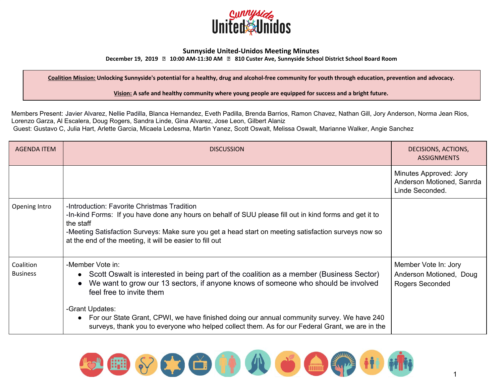

## **Sunnyside United-Unidos Meeting Minutes**

**December 19, 2019 10:00 AM-11:30 AM 810 Custer Ave, Sunnyside School District School Board Room**

Coalition Mission: Unlocking Sunnyside's potential for a healthy, drug and alcohol-free community for youth through education, prevention and advocacy.

**Vision: A safe and healthy community where young people are equipped for success and a bright future.**

Members Present: Javier Alvarez, Nellie Padilla, Blanca Hernandez, Eveth Padilla, Brenda Barrios, Ramon Chavez, Nathan Gill, Jory Anderson, Norma Jean Rios, Lorenzo Garza, Al Escalera, Doug Rogers, Sandra Linde, Gina Alvarez, Jose Leon, Gilbert Alaniz Guest: Gustavo C, Julia Hart, Arlette Garcia, Micaela Ledesma, Martin Yanez, Scott Oswalt, Melissa Oswalt, Marianne Walker, Angie Sanchez

| <b>AGENDA ITEM</b>           | <b>DISCUSSION</b>                                                                                                                                                                                                                                                                                                                       | DECISIONS, ACTIONS,<br><b>ASSIGNMENTS</b>                                 |
|------------------------------|-----------------------------------------------------------------------------------------------------------------------------------------------------------------------------------------------------------------------------------------------------------------------------------------------------------------------------------------|---------------------------------------------------------------------------|
|                              |                                                                                                                                                                                                                                                                                                                                         | Minutes Approved: Jory<br>Anderson Motioned, Sanrda<br>Linde Seconded.    |
| Opening Intro                | -Introduction: Favorite Christmas Tradition<br>-In-kind Forms: If you have done any hours on behalf of SUU please fill out in kind forms and get it to<br>the staff<br>-Meeting Satisfaction Surveys: Make sure you get a head start on meeting satisfaction surveys now so<br>at the end of the meeting, it will be easier to fill out |                                                                           |
| Coalition<br><b>Business</b> | -Member Vote in:<br>• Scott Oswalt is interested in being part of the coalition as a member (Business Sector)<br>We want to grow our 13 sectors, if anyone knows of someone who should be involved<br>feel free to invite them                                                                                                          | Member Vote In: Jory<br>Anderson Motioned, Doug<br><b>Rogers Seconded</b> |
|                              | -Grant Updates:<br>• For our State Grant, CPWI, we have finished doing our annual community survey. We have 240<br>surveys, thank you to everyone who helped collect them. As for our Federal Grant, we are in the                                                                                                                      |                                                                           |

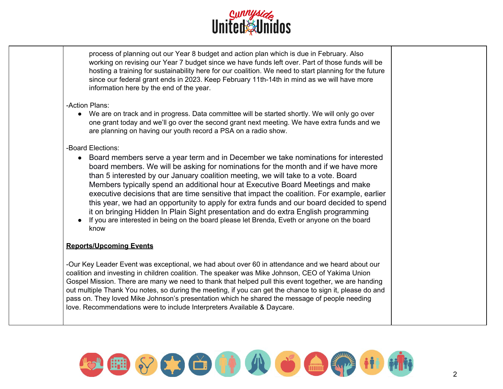

process of planning out our Year 8 budget and action plan which is due in February. Also working on revising our Year 7 budget since we have funds left over. Part of those funds will be hosting a training for sustainability here for our coalition. We need to start planning for the future since our federal grant ends in 2023. Keep February 11th-14th in mind as we will have more information here by the end of the year.

## -Action Plans:

● We are on track and in progress. Data committee will be started shortly. We will only go over one grant today and we'll go over the second grant next meeting. We have extra funds and we are planning on having our youth record a PSA on a radio show.

## -Board Elections:

- Board members serve a year term and in December we take nominations for interested board members. We will be asking for nominations for the month and if we have more than 5 interested by our January coalition meeting, we will take to a vote. Board Members typically spend an additional hour at Executive Board Meetings and make executive decisions that are time sensitive that impact the coalition. For example, earlier this year, we had an opportunity to apply for extra funds and our board decided to spend it on bringing Hidden In Plain Sight presentation and do extra English programming
- If you are interested in being on the board please let Brenda, Eveth or anyone on the board know

## **Reports/Upcoming Events**

-Our Key Leader Event was exceptional, we had about over 60 in attendance and we heard about our coalition and investing in children coalition. The speaker was Mike Johnson, CEO of Yakima Union Gospel Mission. There are many we need to thank that helped pull this event together, we are handing out multiple Thank You notes, so during the meeting, if you can get the chance to sign it, please do and pass on. They loved Mike Johnson's presentation which he shared the message of people needing love. Recommendations were to include Interpreters Available & Daycare.

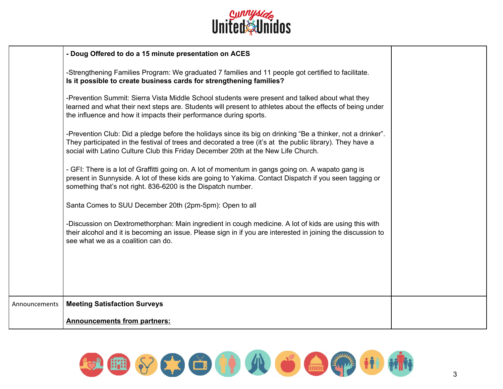

|               | - Doug Offered to do a 15 minute presentation on ACES                                                                                                                                                                                                                                                         |  |
|---------------|---------------------------------------------------------------------------------------------------------------------------------------------------------------------------------------------------------------------------------------------------------------------------------------------------------------|--|
|               | -Strengthening Families Program: We graduated 7 families and 11 people got certified to facilitate.<br>Is it possible to create business cards for strengthening families?                                                                                                                                    |  |
|               | -Prevention Summit: Sierra Vista Middle School students were present and talked about what they<br>learned and what their next steps are. Students will present to athletes about the effects of being under<br>the influence and how it impacts their performance during sports.                             |  |
|               | -Prevention Club: Did a pledge before the holidays since its big on drinking "Be a thinker, not a drinker".<br>They participated in the festival of trees and decorated a tree (it's at the public library). They have a<br>social with Latino Culture Club this Friday December 20th at the New Life Church. |  |
|               | - GFI: There is a lot of Graffitti going on. A lot of momentum in gangs going on. A wapato gang is<br>present in Sunnyside. A lot of these kids are going to Yakima. Contact Dispatch if you seen tagging or<br>something that's not right. 836-6200 is the Dispatch number.                                  |  |
|               | Santa Comes to SUU December 20th (2pm-5pm): Open to all                                                                                                                                                                                                                                                       |  |
|               | -Discussion on Dextromethorphan: Main ingredient in cough medicine. A lot of kids are using this with<br>their alcohol and it is becoming an issue. Please sign in if you are interested in joining the discussion to<br>see what we as a coalition can do.                                                   |  |
|               |                                                                                                                                                                                                                                                                                                               |  |
|               |                                                                                                                                                                                                                                                                                                               |  |
| Announcements | <b>Meeting Satisfaction Surveys</b>                                                                                                                                                                                                                                                                           |  |
|               | <b>Announcements from partners:</b>                                                                                                                                                                                                                                                                           |  |